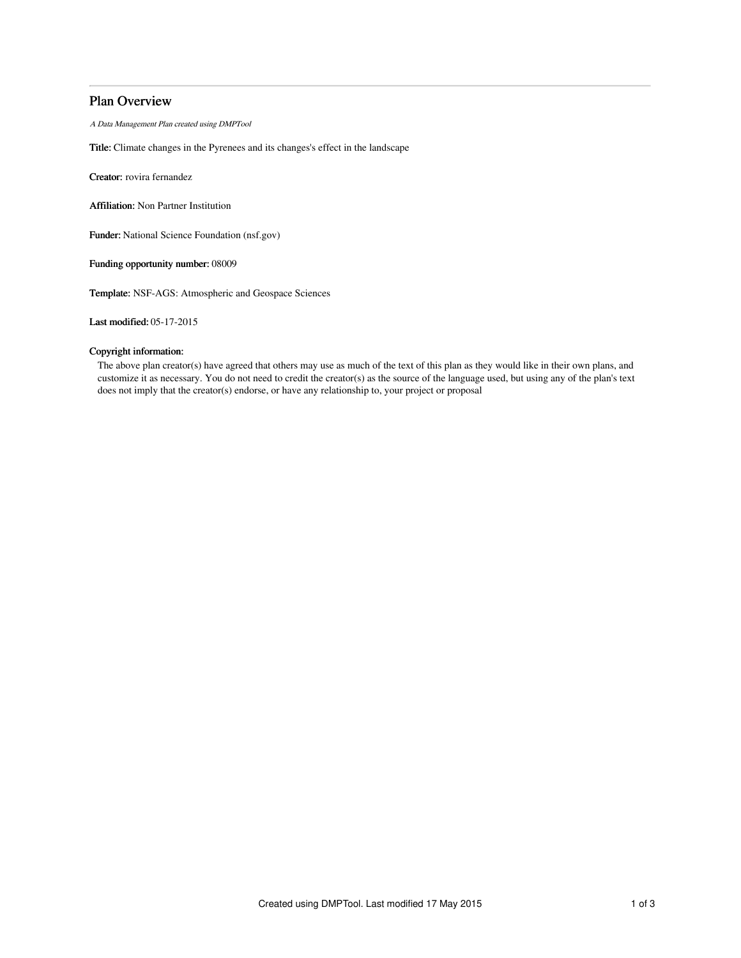# Plan Overview

A Data Management Plan created using DMPTool

Title: Climate changes in the Pyrenees and its changes's effect in the landscape

Creator: rovira fernandez

Affiliation: Non Partner Institution

Funder: National Science Foundation (nsf.gov)

Funding opportunity number: 08009

Template: NSF-AGS: Atmospheric and Geospace Sciences

Last modified: 05-17-2015

### Copyright information:

The above plan creator(s) have agreed that others may use as much of the text of this plan as they would like in their own plans, and customize it as necessary. You do not need to credit the creator(s) as the source of the language used, but using any of the plan's text does not imply that the creator(s) endorse, or have any relationship to, your project or proposal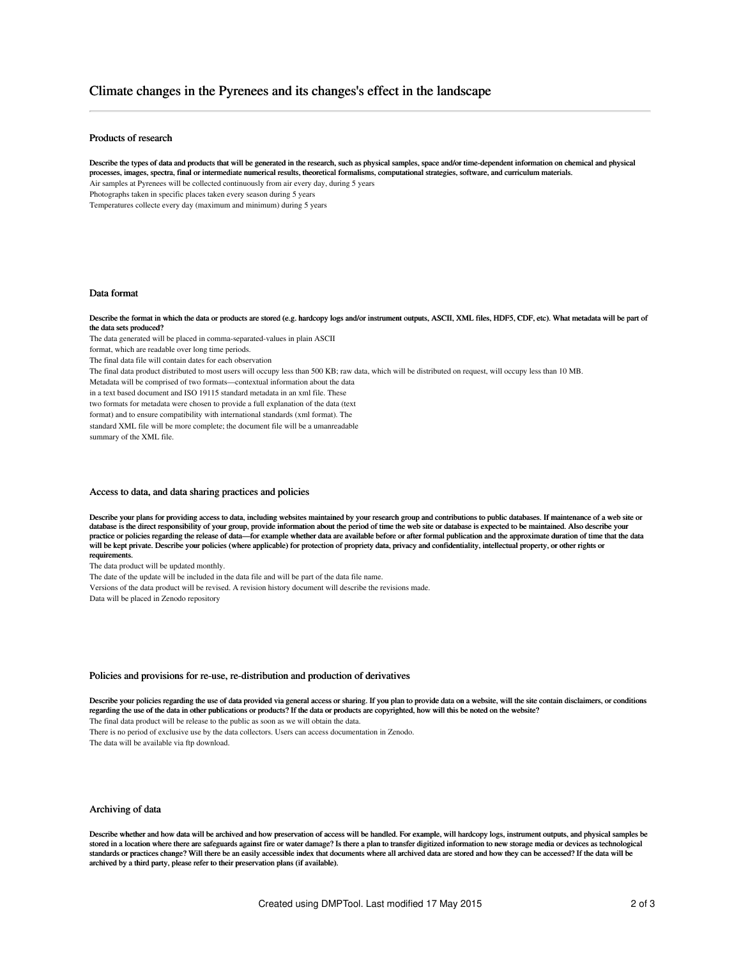## Climate changes in the Pyrenees and its changes's effect in the landscape

### Products of research

Describe the types of data and products that will be generated in the research, such as physical samples, space and/or time-dependent information on chemical and physical processes, images, spectra, final or intermediate numerical results, theoretical formalisms, computational strategies, software, and curriculum materials. Air samples at Pyrenees will be collected continuously from air every day, during 5 years Photographs taken in specific places taken every season during 5 years Temperatures collecte every day (maximum and minimum) during 5 years

#### Data format

Describe the format in which the data or products are stored (e.g. hardcopy logs and/or instrument outputs, ASCII, XML files, HDF5, CDF, etc). What metadata will be part of the data sets produced?

The data generated will be placed in comma-separated-values in plain ASCII

format, which are readable over long time periods.

The final data file will contain dates for each observation

The final data product distributed to most users will occupy less than 500 KB; raw data, which will be distributed on request, will occupy less than 10 MB.

Metadata will be comprised of two formats—contextual information about the data

in a text based document and ISO 19115 standard metadata in an xml file. These

two formats for metadata were chosen to provide a full explanation of the data (text

format) and to ensure compatibility with international standards (xml format). The

standard XML file will be more complete; the document file will be a umanreadable summary of the XML file.

### Access to data, and data sharing practices and policies

Describe your plans for providing access to data, including websites maintained by your research group and contributions to public databases. If maintenance of a web site or database is the direct responsibility of your group, provide information about the period of time the web site or database is expected to be maintained. Also describe your<br>practice or policies regarding the release of data will be kept private. Describe your policies (where applicable) for protection of propriety data, privacy and confidentiality, intellectual property, or other rights or requirements.

The data product will be updated monthly.

The date of the update will be included in the data file and will be part of the data file name.

Versions of the data product will be revised. A revision history document will describe the revisions made.

Data will be placed in Zenodo repository

#### Policies and provisions for re-use, re-distribution and production of derivatives

Describe your policies regarding the use of data provided via general access or sharing. If you plan to provide data on a website, will the site contain disclaimers, or conditions regarding the use of the data in other publications or products? If the data or products are copyrighted, how will this be noted on the website?

The final data product will be release to the public as soon as we will obtain the data.

There is no period of exclusive use by the data collectors. Users can access documentation in Zenodo.

The data will be available via ftp download.

#### Archiving of data

Describe whether and how data will be archived and how preservation of access will be handled. For example, will hardcopy logs, instrument outputs, and physical samples be stored in a location where there are safeguards against fire or water damage? Is there a plan to transfer digitized information to new storage media or devices as technological standards or practices change? Will there be an easily accessible index that documents where all archived data are stored and how they can be accessed? If the data will be archived by a third party, please refer to their preservation plans (if available).